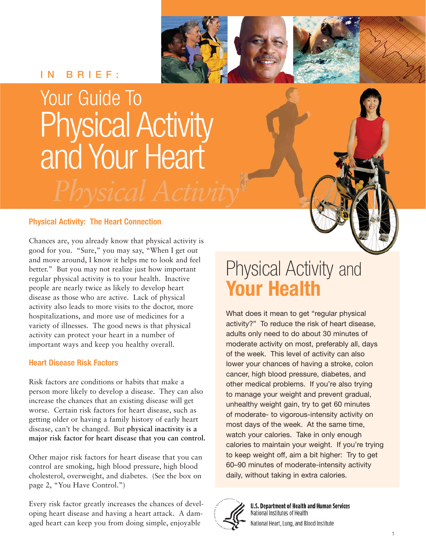#### **IN BRIEF:**

## Your Guide To Physical Activity and Your Heart

#### **Physical Activity: The Heart Connection**

Chances are, you already know that physical activity is good for you. "Sure," you may say, "When I get out and move around, I know it helps me to look and feel better." But you may not realize just how important regular physical activity is to your health. Inactive people are nearly twice as likely to develop heart disease as those who are active. Lack of physical activity also leads to more visits to the doctor, more hospitalizations, and more use of medicines for a variety of illnesses. The good news is that physical activity can protect your heart in a number of important ways and keep you healthy overall.

#### **Heart Disease Risk Factors**

Risk factors are conditions or habits that make a person more likely to develop a disease. They can also increase the chances that an existing disease will get worse. Certain risk factors for heart disease, such as getting older or having a family history of early heart disease, can't be changed. But **physical inactivity is a major risk factor for heart disease that you can control.** 

Other major risk factors for heart disease that you can control are smoking, high blood pressure, high blood cholesterol, overweight, and diabetes. (See the box on page 2, "You Have Control.")

Every risk factor greatly increases the chances of developing heart disease and having a heart attack. A damaged heart can keep you from doing simple, enjoyable

### Physical Activity and **Your Health**

What does it mean to get "regular physical activity?" To reduce the risk of heart disease, adults only need to do about 30 minutes of moderate activity on most, preferably all, days of the week. This level of activity can also lower your chances of having a stroke, colon cancer, high blood pressure, diabetes, and other medical problems. If you're also trying to manage your weight and prevent gradual, unhealthy weight gain, try to get 60 minutes of moderate- to vigorous-intensity activity on most days of the week. At the same time, watch your calories. Take in only enough calories to maintain your weight. If you're trying to keep weight off, aim a bit higher: Try to get 60–90 minutes of moderate-intensity activity daily, without taking in extra calories.



**U.S. Department of Health and Human Services** National Institutes of Health

National Heart, Lung, and Blood Institute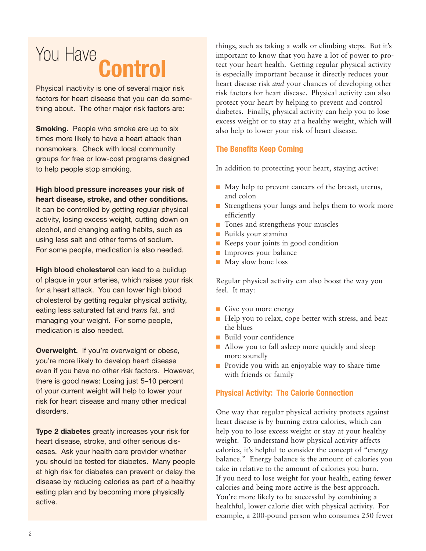## You Have **Control**

Physical inactivity is one of several major risk factors for heart disease that you can do something about. The other major risk factors are:

**Smoking.** People who smoke are up to six times more likely to have a heart attack than nonsmokers. Check with local community groups for free or low-cost programs designed to help people stop smoking.

**High blood pressure increases your risk of heart disease, stroke, and other conditions.**  It can be controlled by getting regular physical activity, losing excess weight, cutting down on alcohol, and changing eating habits, such as using less salt and other forms of sodium. For some people, medication is also needed.

**High blood cholesterol** can lead to a buildup of plaque in your arteries, which raises your risk for a heart attack. You can lower high blood cholesterol by getting regular physical activity, eating less saturated fat and *trans* fat, and managing your weight. For some people, medication is also needed.

**Overweight.** If you're overweight or obese, you're more likely to develop heart disease even if you have no other risk factors. However, there is good news: Losing just 5–10 percent of your current weight will help to lower your risk for heart disease and many other medical disorders.

**Type 2 diabetes** greatly increases your risk for heart disease, stroke, and other serious diseases. Ask your health care provider whether you should be tested for diabetes. Many people at high risk for diabetes can prevent or delay the disease by reducing calories as part of a healthy eating plan and by becoming more physically active.

things, such as taking a walk or climbing steps. But it's important to know that you have a lot of power to protect your heart health. Getting regular physical activity is especially important because it directly reduces your heart disease risk *and* your chances of developing other risk factors for heart disease. Physical activity can also protect your heart by helping to prevent and control diabetes. Finally, physical activity can help you to lose excess weight or to stay at a healthy weight, which will also help to lower your risk of heart disease.

#### **The Benefits Keep Coming**

In addition to protecting your heart, staying active:

- May help to prevent cancers of the breast, uterus, and colon
- Strengthens your lungs and helps them to work more efficiently
- Tones and strengthens your muscles
- Builds your stamina
- Keeps your joints in good condition
- Improves your balance
- May slow bone loss

Regular physical activity can also boost the way you feel. It may:

- Give you more energy
- Help you to relax, cope better with stress, and beat the blues
- Build your confidence
- Allow you to fall asleep more quickly and sleep more soundly
- Provide you with an enjoyable way to share time with friends or family

#### **Physical Activity: The Calorie Connection**

One way that regular physical activity protects against heart disease is by burning extra calories, which can help you to lose excess weight or stay at your healthy weight. To understand how physical activity affects calories, it's helpful to consider the concept of "energy balance." Energy balance is the amount of calories you take in relative to the amount of calories you burn. If you need to lose weight for your health, eating fewer calories and being more active is the best approach. You're more likely to be successful by combining a healthful, lower calorie diet with physical activity. For example, a 200-pound person who consumes 250 fewer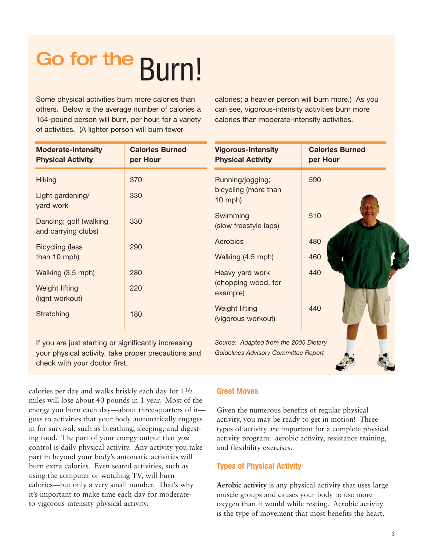# Go for the Burn!

Some physical activities burn more calories than others. Below is the average number of calories a 154-pound person will burn, per hour, for a variety of activities. (A lighter person will burn fewer

calories; a heavier person will burn more.) As you can see, vigorous-intensity activities burn more calories than moderate-intensity activities.

| <b>Moderate-Intensity</b><br><b>Physical Activity</b> | <b>Calories Burned</b><br>per Hour | <b>Vigorous-Intensity</b><br><b>Physical Activity</b> | <b>Calories Burned</b><br>per Hour |
|-------------------------------------------------------|------------------------------------|-------------------------------------------------------|------------------------------------|
| <b>Hiking</b>                                         | 370                                | Running/jogging;                                      | 590                                |
| Light gardening/<br>yard work                         | 330                                | bicycling (more than<br>$10$ mph)                     |                                    |
| Dancing; golf (walking<br>and carrying clubs)         | 330                                | Swimming<br>(slow freestyle laps)                     | 510                                |
| <b>Bicycling (less</b>                                | 290                                | Aerobics                                              | 480                                |
| than 10 mph)                                          |                                    | Walking (4.5 mph)                                     | 460                                |
| Walking (3.5 mph)                                     | 280                                | Heavy yard work                                       | 440                                |
| Weight lifting<br>(light workout)                     | 220                                | (chopping wood, for<br>example)                       |                                    |
| Stretching                                            | 180                                | Weight lifting<br>(vigorous workout)                  | 440                                |

If you are just starting or significantly increasing your physical activity, take proper precautions and check with your doctor first.

*Source: Adapted from the 2005 Dietary Guidelines Advisory Committee Report* 

calories per day and walks briskly each day for 11/2 miles will lose about 40 pounds in 1 year. Most of the energy you burn each day—about three-quarters of it goes to activities that your body automatically engages in for survival, such as breathing, sleeping, and digesting food. The part of your energy output that *you* control is daily physical activity. Any activity you take part in beyond your body's automatic activities will burn extra calories. Even seated activities, such as using the computer or watching TV, will burn calories—but only a very small number. That's why it's important to make time each day for moderateto vigorous-intensity physical activity.

#### **Great Moves**

Given the numerous benefits of regular physical activity, you may be ready to get in motion! Three types of activity are important for a complete physical activity program: aerobic activity, resistance training, and flexibility exercises.

#### **Types of Physical Activity**

**Aerobic activity** is any physical activity that uses large muscle groups and causes your body to use more oxygen than it would while resting. Aerobic activity is the type of movement that most benefits the heart.